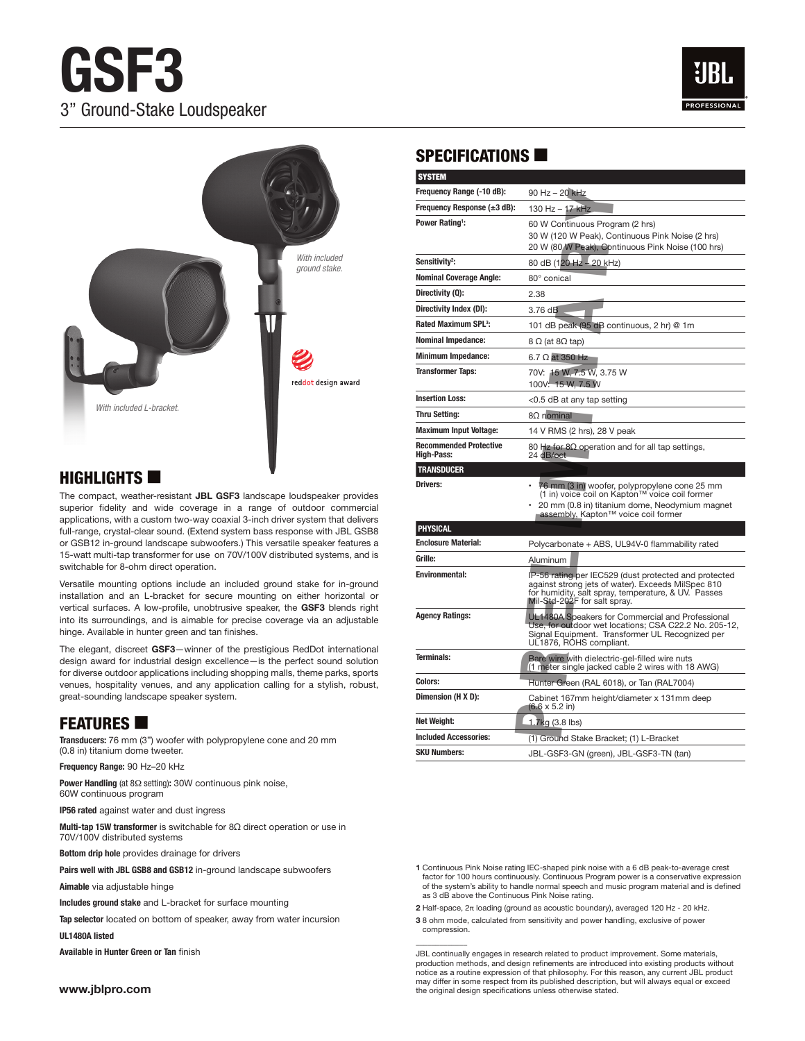# **GSF3**  3" Ground-Stake Loudspeaker





### $H$ IGHLIGHTS

The compact, weather-resistant **JBL GSF3** landscape loudspeaker provides superior fidelity and wide coverage in a range of outdoor commercial applications, with a custom two-way coaxial 3-inch driver system that delivers full-range, crystal-clear sound. (Extend system bass response with JBL GSB8 or GSB12 in-ground landscape subwoofers.) This versatile speaker features a 15-watt multi-tap transformer for use on 70V/100V distributed systems, and is switchable for 8-ohm direct operation.

Versatile mounting options include an included ground stake for in-ground installation and an L-bracket for secure mounting on either horizontal or vertical surfaces. A low-profile, unobtrusive speaker, the **GSF3** blends right into its surroundings, and is aimable for precise coverage via an adjustable hinge. Available in hunter green and tan finishes.

The elegant, discreet **GSF3**—winner of the prestigious RedDot international design award for industrial design excellence—is the perfect sound solution for diverse outdoor applications including shopping malls, theme parks, sports venues, hospitality venues, and any application calling for a stylish, robust, great-sounding landscape speaker system.

# **FEATURES**

**Transducers:** 76 mm (3") woofer with polypropylene cone and 20 mm (0.8 in) titanium dome tweeter.

**Frequency Range:** 90 Hz–20 kHz

**Power Handling** (at 8Ω setting)**:** 30W continuous pink noise, 60W continuous program

**IP56 rated** against water and dust ingress

**Multi-tap 15W transformer** is switchable for 8Ω direct operation or use in 70V/100V distributed systems

**Bottom drip hole** provides drainage for drivers

**Pairs well with JBL GSB8 and GSB12** in-ground landscape subwoofers

**Aimable** via adjustable hinge

**Includes ground stake** and L-bracket for surface mounting

**Tap selector** located on bottom of speaker, away from water incursion

**UL1480A listed**

**Available in Hunter Green or Tan** finish

# SPECIFICATIONS  $\blacksquare$

|                                                                         | <b>SYSTEM</b>                                      |                                                                                                                                                                                                    |
|-------------------------------------------------------------------------|----------------------------------------------------|----------------------------------------------------------------------------------------------------------------------------------------------------------------------------------------------------|
|                                                                         | Frequency Range (-10 dB):                          | 90 Hz - 20 kHz                                                                                                                                                                                     |
|                                                                         | Frequency Response $(\pm 3$ dB):                   | 130 Hz - 17 kHz                                                                                                                                                                                    |
|                                                                         | Power Rating <sup>1</sup> :                        | 60 W Continuous Program (2 hrs)<br>30 W (120 W Peak), Continuous Pink Noise (2 hrs)<br>20 W (80 W Peak), Continuous Pink Noise (100 hrs)                                                           |
| With included<br>ground stake.                                          | Sensitivity <sup>2</sup> :                         | 80 dB (120 Hz - 20 kHz)                                                                                                                                                                            |
|                                                                         | <b>Nominal Coverage Angle:</b>                     | 80° conical                                                                                                                                                                                        |
|                                                                         | Directivity (Q):                                   | 2.38                                                                                                                                                                                               |
|                                                                         | Directivity Index (DI):                            | 3.76 dB                                                                                                                                                                                            |
|                                                                         | <b>Rated Maximum SPL<sup>3</sup>:</b>              | 101 dB peak (95 dB continuous, 2 hr) @ 1m                                                                                                                                                          |
|                                                                         | <b>Nominal Impedance:</b>                          | 8 Ω (at 8Ω tap)                                                                                                                                                                                    |
|                                                                         | <b>Minimum Impedance:</b>                          | 6.7 $\Omega$ at 350 Hz                                                                                                                                                                             |
| ed <mark>dot</mark> design award                                        | <b>Transformer Taps:</b>                           | 70V: 15 W, 7.5 W, 3.75 W<br>100V: 15 W, 7.5 W                                                                                                                                                      |
|                                                                         | <b>Insertion Loss:</b>                             | <0.5 dB at any tap setting                                                                                                                                                                         |
|                                                                         | <b>Thru Setting:</b>                               | $8\Omega$ nominal                                                                                                                                                                                  |
|                                                                         | <b>Maximum Input Voltage:</b>                      | 14 V RMS (2 hrs), 28 V peak                                                                                                                                                                        |
|                                                                         | <b>Recommended Protective</b><br><b>High-Pass:</b> | 80 Hz for 8 $\Omega$ operation and for all tap settings,<br>24 dB/oct                                                                                                                              |
|                                                                         | <b>TRANSDUCER</b>                                  |                                                                                                                                                                                                    |
| udspeaker provides<br>utdoor commercial<br>system that delivers         | <b>Drivers:</b>                                    | • 76 mm (3 in) woofer, polypropylene cone 25 mm<br>(1 in) voice coil on Kapton™ voice coil former<br>20 mm (0.8 in) titanium dome, Neodymium magnet<br>assembly, Kapton™ voice coil former         |
| onse with JBL GSB8                                                      | <b>PHYSICAL</b>                                    |                                                                                                                                                                                                    |
| e speaker features a<br>uted systems, and is                            | <b>Enclosure Material:</b>                         | Polycarbonate + ABS, UL94V-0 flammability rated                                                                                                                                                    |
|                                                                         | Grille:                                            | Aluminum                                                                                                                                                                                           |
| stake for in-ground<br>either horizontal or<br><b>GSF3</b> blends right | <b>Environmental:</b>                              | IP-56 rating per IEC529 (dust protected and protected<br>against strong jets of water). Exceeds MilSpec 810<br>for humidity, salt spray, temperature, & UV. Passes<br>Mil-Std-202F for salt spray. |
| je via an adjustable                                                    | <b>Agency Ratings:</b>                             | UL1480A Speakers for Commercial and Professional<br>Use, for outdoor wet locations; CSA C22.2 No. 205-12,<br>Signal Equipment. Transformer UL Recognized per<br>UL1876, ROHS compliant.            |
| RedDot international<br>fect sound solution<br>theme parks, sports      | Terminals:                                         | Bare wire with dielectric-gel-filled wire nuts<br>(1 meter single jacked cable 2 wires with 18 AWG)                                                                                                |
| or a stylish, robust,                                                   | <b>Colors:</b>                                     | Hunter Green (RAL 6018), or Tan (RAL7004)                                                                                                                                                          |
|                                                                         | Dimension (H X D):                                 | Cabinet 167mm height/diameter x 131mm deep<br>$(6.6 \times 5.2 \text{ in})$                                                                                                                        |
|                                                                         | Net Weight:                                        | 1.7kg (3.8 lbs)                                                                                                                                                                                    |
| าd 20 mm                                                                | <b>Included Accessories:</b>                       | (1) Ground Stake Bracket; (1) L-Bracket                                                                                                                                                            |
|                                                                         | <b>SKU Numbers:</b>                                | JBL-GSF3-GN (green), JBL-GSF3-TN (tan)                                                                                                                                                             |

**1** Continuous Pink Noise rating IEC-shaped pink noise with a 6 dB peak-to-average crest factor for 100 hours continuously. Continuous Program power is a conservative expression of the system's ability to handle normal speech and music program material and is defined as 3 dB above the Continuous Pink Noise rating.

**2** Half-space, 2π loading (ground as acoustic boundary), averaged 120 Hz - 20 kHz.

**3** 8 ohm mode, calculated from sensitivity and power handling, exclusive of power compression.

 $\overline{\phantom{a}}$ 

JBL continually engages in research related to product improvement. Some materials, production methods, and design refinements are introduced into existing products without notice as a routine expression of that philosophy. For this reason, any current JBL product may differ in some respect from its published description, but will always equal or exceed the original design specifications unless otherwise stated.